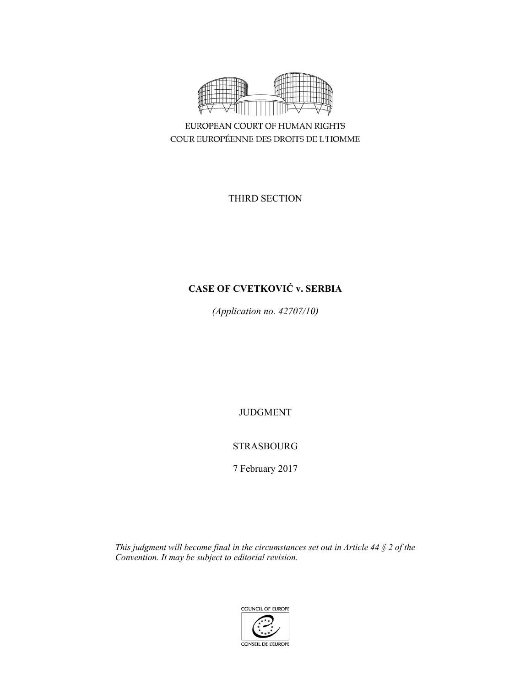

EUROPEAN COURT OF HUMAN RIGHTS COUR EUROPÉENNE DES DROITS DE L'HOMME

THIRD SECTION

# **CASE OF CVETKOVIĆ v. SERBIA**

*(Application no. 42707/10)* 

JUDGMENT

## STRASBOURG

7 February 2017

*This judgment will become final in the circumstances set out in Article 44 § 2 of the Convention. It may be subject to editorial revision.* 

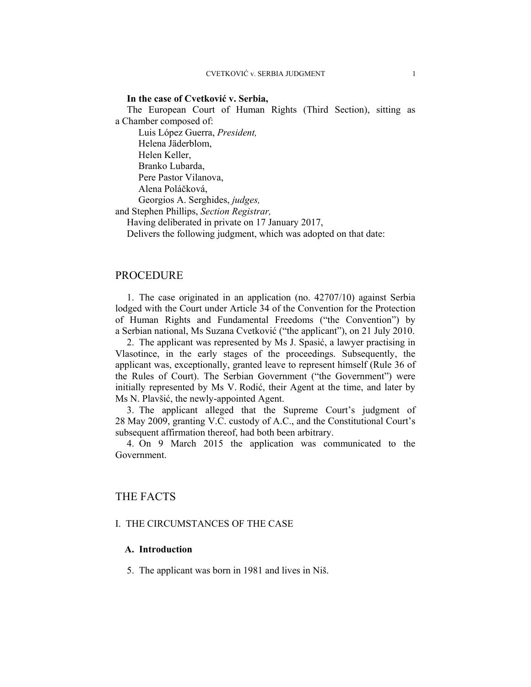### **In the case of Cvetković v. Serbia,**

The European Court of Human Rights (Third Section), sitting as a Chamber composed of:

 Luis López Guerra, *President,*  Helena Jäderblom, Helen Keller, Branko Lubarda, Pere Pastor Vilanova, Alena Poláčková, Georgios A. Serghides, *judges,* 

and Stephen Phillips, *Section Registrar,*

Having deliberated in private on 17 January 2017,

Delivers the following judgment, which was adopted on that date:

### PROCEDURE

1. The case originated in an application (no. 42707/10) against Serbia lodged with the Court under Article 34 of the Convention for the Protection of Human Rights and Fundamental Freedoms ("the Convention") by a Serbian national, Ms Suzana Cvetković ("the applicant"), on 21 July 2010.

2. The applicant was represented by Ms J. Spasić, a lawyer practising in Vlasotince, in the early stages of the proceedings. Subsequently, the applicant was, exceptionally, granted leave to represent himself (Rule 36 of the Rules of Court). The Serbian Government ("the Government") were initially represented by Ms V. Rodić, their Agent at the time, and later by Ms N. Plavšić, the newly-appointed Agent.

3. The applicant alleged that the Supreme Court's judgment of 28 May 2009, granting V.C. custody of A.C., and the Constitutional Court's subsequent affirmation thereof, had both been arbitrary.

4. On 9 March 2015 the application was communicated to the Government.

### THE FACTS

### I. THE CIRCUMSTANCES OF THE CASE

### **A. Introduction**

5. The applicant was born in 1981 and lives in Niš.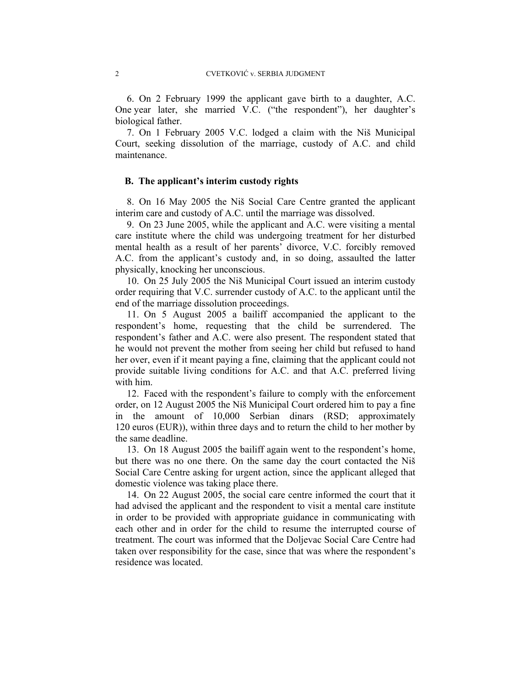6. On 2 February 1999 the applicant gave birth to a daughter, A.C. One year later, she married V.C. ("the respondent"), her daughter's biological father.

7. On 1 February 2005 V.C. lodged a claim with the Niš Municipal Court, seeking dissolution of the marriage, custody of A.C. and child maintenance.

### **B. The applicant's interim custody rights**

8. On 16 May 2005 the Niš Social Care Centre granted the applicant interim care and custody of A.C. until the marriage was dissolved.

9. On 23 June 2005, while the applicant and A.C. were visiting a mental care institute where the child was undergoing treatment for her disturbed mental health as a result of her parents' divorce, V.C. forcibly removed A.C. from the applicant's custody and, in so doing, assaulted the latter physically, knocking her unconscious.

10. On 25 July 2005 the Niš Municipal Court issued an interim custody order requiring that V.C. surrender custody of A.C. to the applicant until the end of the marriage dissolution proceedings.

11. On 5 August 2005 a bailiff accompanied the applicant to the respondent's home, requesting that the child be surrendered. The respondent's father and A.C. were also present. The respondent stated that he would not prevent the mother from seeing her child but refused to hand her over, even if it meant paying a fine, claiming that the applicant could not provide suitable living conditions for A.C. and that A.C. preferred living with him.

12. Faced with the respondent's failure to comply with the enforcement order, on 12 August 2005 the Niš Municipal Court ordered him to pay a fine in the amount of 10,000 Serbian dinars (RSD; approximately 120 euros (EUR)), within three days and to return the child to her mother by the same deadline.

13. On 18 August 2005 the bailiff again went to the respondent's home, but there was no one there. On the same day the court contacted the Niš Social Care Centre asking for urgent action, since the applicant alleged that domestic violence was taking place there.

14. On 22 August 2005, the social care centre informed the court that it had advised the applicant and the respondent to visit a mental care institute in order to be provided with appropriate guidance in communicating with each other and in order for the child to resume the interrupted course of treatment. The court was informed that the Doljevac Social Care Centre had taken over responsibility for the case, since that was where the respondent's residence was located.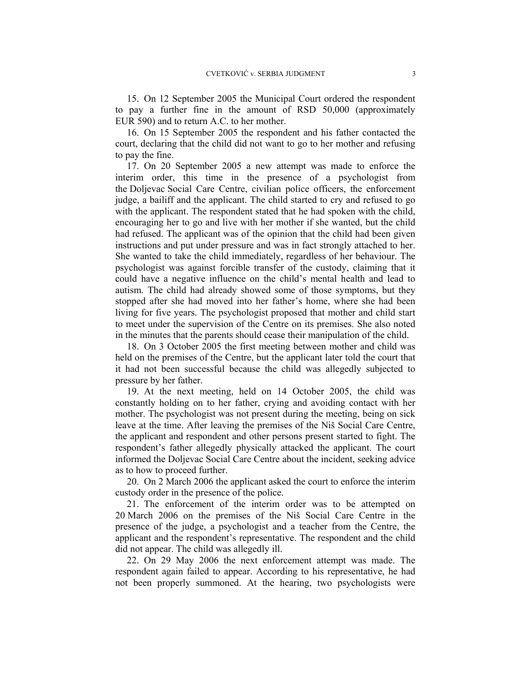15. On 12 September 2005 the Municipal Court ordered the respondent to pay a further fine in the amount of RSD 50,000 (approximately EUR 590) and to return A.C. to her mother.

16. On 15 September 2005 the respondent and his father contacted the court, declaring that the child did not want to go to her mother and refusing to pay the fine.

17. On 20 September 2005 a new attempt was made to enforce the interim order, this time in the presence of a psychologist from the Doljevac Social Care Centre, civilian police officers, the enforcement judge, a bailiff and the applicant. The child started to cry and refused to go with the applicant. The respondent stated that he had spoken with the child, encouraging her to go and live with her mother if she wanted, but the child had refused. The applicant was of the opinion that the child had been given instructions and put under pressure and was in fact strongly attached to her. She wanted to take the child immediately, regardless of her behaviour. The psychologist was against forcible transfer of the custody, claiming that it could have a negative influence on the child's mental health and lead to autism. The child had already showed some of those symptoms, but they stopped after she had moved into her father's home, where she had been living for five years. The psychologist proposed that mother and child start to meet under the supervision of the Centre on its premises. She also noted in the minutes that the parents should cease their manipulation of the child.

18. On 3 October 2005 the first meeting between mother and child was held on the premises of the Centre, but the applicant later told the court that it had not been successful because the child was allegedly subjected to pressure by her father.

19. At the next meeting, held on 14 October 2005, the child was constantly holding on to her father, crying and avoiding contact with her mother. The psychologist was not present during the meeting, being on sick leave at the time. After leaving the premises of the Niš Social Care Centre, the applicant and respondent and other persons present started to fight. The respondent's father allegedly physically attacked the applicant. The court informed the Doljevac Social Care Centre about the incident, seeking advice as to how to proceed further.

20. On 2 March 2006 the applicant asked the court to enforce the interim custody order in the presence of the police.

21. The enforcement of the interim order was to be attempted on 20 March 2006 on the premises of the Niš Social Care Centre in the presence of the judge, a psychologist and a teacher from the Centre, the applicant and the respondent's representative. The respondent and the child did not appear. The child was allegedly ill.

22. On 29 May 2006 the next enforcement attempt was made. The respondent again failed to appear. According to his representative, he had not been properly summoned. At the hearing, two psychologists were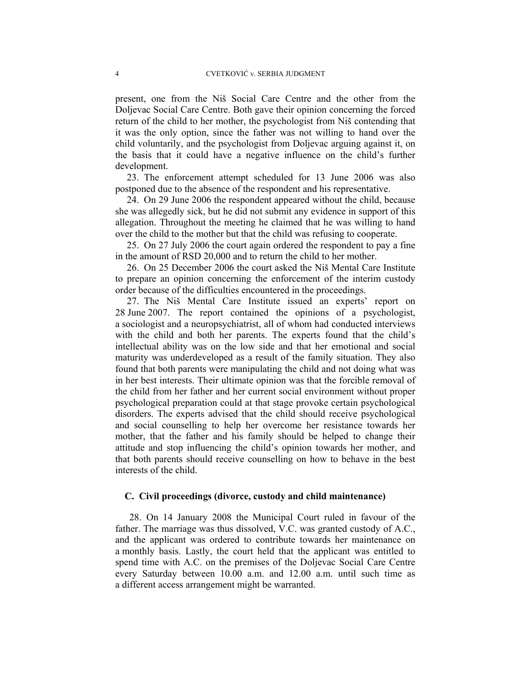present, one from the Niš Social Care Centre and the other from the Doljevac Social Care Centre. Both gave their opinion concerning the forced return of the child to her mother, the psychologist from Niš contending that it was the only option, since the father was not willing to hand over the child voluntarily, and the psychologist from Doljevac arguing against it, on the basis that it could have a negative influence on the child's further development.

23. The enforcement attempt scheduled for 13 June 2006 was also postponed due to the absence of the respondent and his representative.

24. On 29 June 2006 the respondent appeared without the child, because she was allegedly sick, but he did not submit any evidence in support of this allegation. Throughout the meeting he claimed that he was willing to hand over the child to the mother but that the child was refusing to cooperate.

25. On 27 July 2006 the court again ordered the respondent to pay a fine in the amount of RSD 20,000 and to return the child to her mother.

26. On 25 December 2006 the court asked the Niš Mental Care Institute to prepare an opinion concerning the enforcement of the interim custody order because of the difficulties encountered in the proceedings.

27. The Niš Mental Care Institute issued an experts' report on 28 June 2007. The report contained the opinions of a psychologist, a sociologist and a neuropsychiatrist, all of whom had conducted interviews with the child and both her parents. The experts found that the child's intellectual ability was on the low side and that her emotional and social maturity was underdeveloped as a result of the family situation. They also found that both parents were manipulating the child and not doing what was in her best interests. Their ultimate opinion was that the forcible removal of the child from her father and her current social environment without proper psychological preparation could at that stage provoke certain psychological disorders. The experts advised that the child should receive psychological and social counselling to help her overcome her resistance towards her mother, that the father and his family should be helped to change their attitude and stop influencing the child's opinion towards her mother, and that both parents should receive counselling on how to behave in the best interests of the child.

#### **C. Civil proceedings (divorce, custody and child maintenance)**

 28. On 14 January 2008 the Municipal Court ruled in favour of the father. The marriage was thus dissolved, V.C. was granted custody of A.C., and the applicant was ordered to contribute towards her maintenance on a monthly basis. Lastly, the court held that the applicant was entitled to spend time with A.C. on the premises of the Doljevac Social Care Centre every Saturday between 10.00 a.m. and 12.00 a.m. until such time as a different access arrangement might be warranted.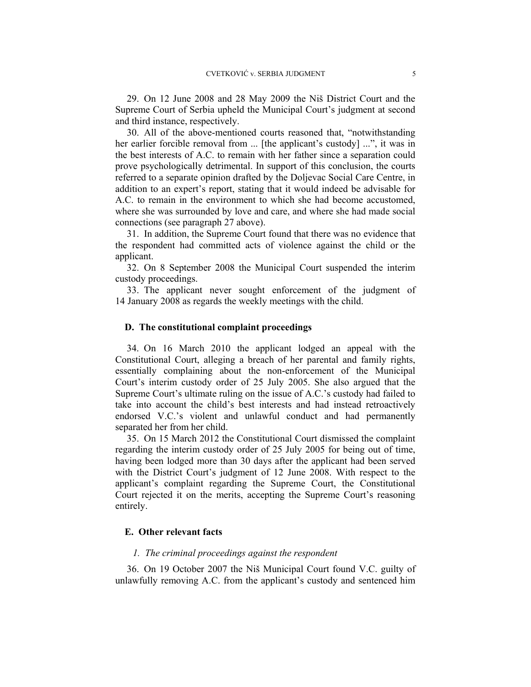29. On 12 June 2008 and 28 May 2009 the Niš District Court and the Supreme Court of Serbia upheld the Municipal Court's judgment at second and third instance, respectively.

30. All of the above-mentioned courts reasoned that, "notwithstanding her earlier forcible removal from ... [the applicant's custody] ...", it was in the best interests of A.C. to remain with her father since a separation could prove psychologically detrimental. In support of this conclusion, the courts referred to a separate opinion drafted by the Doljevac Social Care Centre, in addition to an expert's report, stating that it would indeed be advisable for A.C. to remain in the environment to which she had become accustomed, where she was surrounded by love and care, and where she had made social connections (see paragraph 27 above).

31. In addition, the Supreme Court found that there was no evidence that the respondent had committed acts of violence against the child or the applicant.

32. On 8 September 2008 the Municipal Court suspended the interim custody proceedings.

33. The applicant never sought enforcement of the judgment of 14 January 2008 as regards the weekly meetings with the child.

### **D. The constitutional complaint proceedings**

34. On 16 March 2010 the applicant lodged an appeal with the Constitutional Court, alleging a breach of her parental and family rights, essentially complaining about the non-enforcement of the Municipal Court's interim custody order of 25 July 2005. She also argued that the Supreme Court's ultimate ruling on the issue of A.C.'s custody had failed to take into account the child's best interests and had instead retroactively endorsed V.C.'s violent and unlawful conduct and had permanently separated her from her child.

35. On 15 March 2012 the Constitutional Court dismissed the complaint regarding the interim custody order of 25 July 2005 for being out of time, having been lodged more than 30 days after the applicant had been served with the District Court's judgment of 12 June 2008. With respect to the applicant's complaint regarding the Supreme Court, the Constitutional Court rejected it on the merits, accepting the Supreme Court's reasoning entirely.

### **E. Other relevant facts**

### *1. The criminal proceedings against the respondent*

36. On 19 October 2007 the Niš Municipal Court found V.C. guilty of unlawfully removing A.C. from the applicant's custody and sentenced him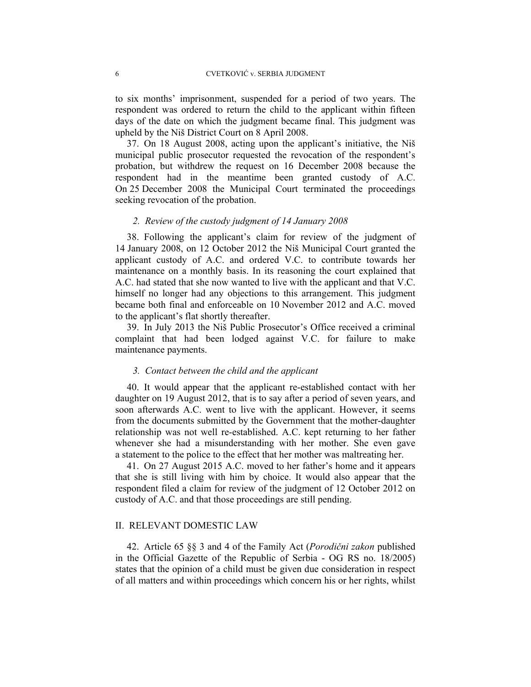to six months' imprisonment, suspended for a period of two years. The respondent was ordered to return the child to the applicant within fifteen days of the date on which the judgment became final. This judgment was upheld by the Niš District Court on 8 April 2008.

37. On 18 August 2008, acting upon the applicant's initiative, the Niš municipal public prosecutor requested the revocation of the respondent's probation, but withdrew the request on 16 December 2008 because the respondent had in the meantime been granted custody of A.C. On 25 December 2008 the Municipal Court terminated the proceedings seeking revocation of the probation.

### *2. Review of the custody judgment of 14 January 2008*

38.Following the applicant's claim for review of the judgment of 14 January 2008, on 12 October 2012 the Niš Municipal Court granted the applicant custody of A.C. and ordered V.C. to contribute towards her maintenance on a monthly basis. In its reasoning the court explained that A.C. had stated that she now wanted to live with the applicant and that V.C. himself no longer had any objections to this arrangement. This judgment became both final and enforceable on 10 November 2012 and A.C. moved to the applicant's flat shortly thereafter.

39. In July 2013 the Niš Public Prosecutor's Office received a criminal complaint that had been lodged against V.C. for failure to make maintenance payments.

### *3. Contact between the child and the applicant*

40. It would appear that the applicant re-established contact with her daughter on 19 August 2012, that is to say after a period of seven years, and soon afterwards A.C. went to live with the applicant. However, it seems from the documents submitted by the Government that the mother-daughter relationship was not well re-established. A.C. kept returning to her father whenever she had a misunderstanding with her mother. She even gave a statement to the police to the effect that her mother was maltreating her.

41. On 27 August 2015 A.C. moved to her father's home and it appears that she is still living with him by choice. It would also appear that the respondent filed a claim for review of the judgment of 12 October 2012 on custody of A.C. and that those proceedings are still pending.

### II. RELEVANT DOMESTIC LAW

42. Article 65 §§ 3 and 4 of the Family Act (*Porodični zakon* published in the Official Gazette of the Republic of Serbia - OG RS no. 18/2005) states that the opinion of a child must be given due consideration in respect of all matters and within proceedings which concern his or her rights, whilst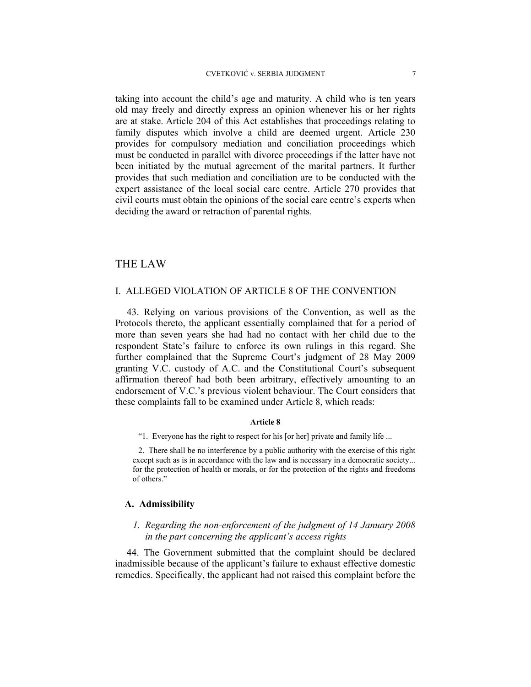taking into account the child's age and maturity. A child who is ten years old may freely and directly express an opinion whenever his or her rights are at stake. Article 204 of this Act establishes that proceedings relating to family disputes which involve a child are deemed urgent. Article 230 provides for compulsory mediation and conciliation proceedings which must be conducted in parallel with divorce proceedings if the latter have not been initiated by the mutual agreement of the marital partners. It further provides that such mediation and conciliation are to be conducted with the expert assistance of the local social care centre. Article 270 provides that civil courts must obtain the opinions of the social care centre's experts when deciding the award or retraction of parental rights.

### THE LAW

### I. ALLEGED VIOLATION OF ARTICLE 8 OF THE CONVENTION

43. Relying on various provisions of the Convention, as well as the Protocols thereto, the applicant essentially complained that for a period of more than seven years she had had no contact with her child due to the respondent State's failure to enforce its own rulings in this regard. She further complained that the Supreme Court's judgment of 28 May 2009 granting V.C. custody of A.C. and the Constitutional Court's subsequent affirmation thereof had both been arbitrary, effectively amounting to an endorsement of V.C.'s previous violent behaviour. The Court considers that these complaints fall to be examined under Article 8, which reads:

#### **Article 8**

"1. Everyone has the right to respect for his [or her] private and family life ...

2. There shall be no interference by a public authority with the exercise of this right except such as is in accordance with the law and is necessary in a democratic society... for the protection of health or morals, or for the protection of the rights and freedoms of others."

### **A. Admissibility**

### *1. Regarding the non-enforcement of the judgment of 14 January 2008 in the part concerning the applicant's access rights*

44. The Government submitted that the complaint should be declared inadmissible because of the applicant's failure to exhaust effective domestic remedies. Specifically, the applicant had not raised this complaint before the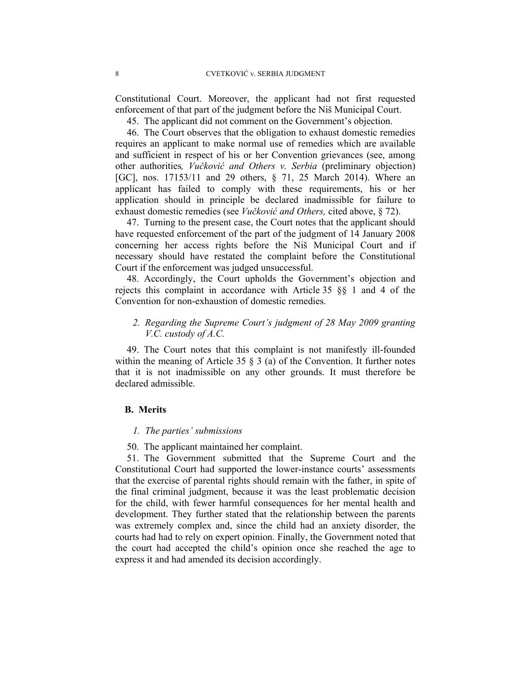Constitutional Court. Moreover, the applicant had not first requested enforcement of that part of the judgment before the Niš Municipal Court.

45. The applicant did not comment on the Government's objection.

46. The Court observes that the obligation to exhaust domestic remedies requires an applicant to make normal use of remedies which are available and sufficient in respect of his or her Convention grievances (see, among other authorities*, Vučković and Others v. Serbia* (preliminary objection) [GC], nos. 17153/11 and 29 others, § 71, 25 March 2014). Where an applicant has failed to comply with these requirements, his or her application should in principle be declared inadmissible for failure to exhaust domestic remedies (see *Vučković and Others,* cited above, § 72).

47. Turning to the present case, the Court notes that the applicant should have requested enforcement of the part of the judgment of 14 January 2008 concerning her access rights before the Niš Municipal Court and if necessary should have restated the complaint before the Constitutional Court if the enforcement was judged unsuccessful.

48. Accordingly, the Court upholds the Government's objection and rejects this complaint in accordance with Article 35 §§ 1 and 4 of the Convention for non-exhaustion of domestic remedies.

### *2. Regarding the Supreme Court's judgment of 28 May 2009 granting V.C. custody of A.C.*

49. The Court notes that this complaint is not manifestly ill-founded within the meaning of Article 35  $\S$  3 (a) of the Convention. It further notes that it is not inadmissible on any other grounds. It must therefore be declared admissible.

#### **B. Merits**

#### *1. The parties' submissions*

50. The applicant maintained her complaint.

51. The Government submitted that the Supreme Court and the Constitutional Court had supported the lower-instance courts' assessments that the exercise of parental rights should remain with the father, in spite of the final criminal judgment, because it was the least problematic decision for the child, with fewer harmful consequences for her mental health and development. They further stated that the relationship between the parents was extremely complex and, since the child had an anxiety disorder, the courts had had to rely on expert opinion. Finally, the Government noted that the court had accepted the child's opinion once she reached the age to express it and had amended its decision accordingly.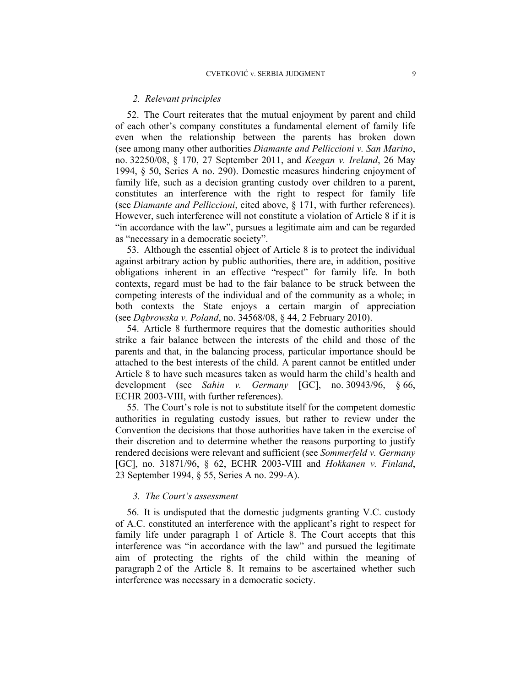### *2. Relevant principles*

52. The Court reiterates that the mutual enjoyment by parent and child of each other's company constitutes a fundamental element of family life even when the relationship between the parents has broken down (see among many other authorities *Diamante and Pelliccioni v. San Marino*, no. 32250/08, § 170, 27 September 2011, and *Keegan v. Ireland*, 26 May 1994, § 50, Series A no. 290). Domestic measures hindering enjoyment of family life, such as a decision granting custody over children to a parent, constitutes an interference with the right to respect for family life (see *Diamante and Pelliccioni*, cited above, § 171, with further references). However, such interference will not constitute a violation of Article 8 if it is "in accordance with the law", pursues a legitimate aim and can be regarded as "necessary in a democratic society".

53. Although the essential object of Article 8 is to protect the individual against arbitrary action by public authorities, there are, in addition, positive obligations inherent in an effective "respect" for family life. In both contexts, regard must be had to the fair balance to be struck between the competing interests of the individual and of the community as a whole; in both contexts the State enjoys a certain margin of appreciation (see *Dąbrowska v. Poland*, no. 34568/08, § 44, 2 February 2010).

54. Article 8 furthermore requires that the domestic authorities should strike a fair balance between the interests of the child and those of the parents and that, in the balancing process, particular importance should be attached to the best interests of the child. A parent cannot be entitled under Article 8 to have such measures taken as would harm the child's health and development (see *Sahin v. Germany* [GC], no. 30943/96, § 66, ECHR 2003-VIII, with further references).

55. The Court's role is not to substitute itself for the competent domestic authorities in regulating custody issues, but rather to review under the Convention the decisions that those authorities have taken in the exercise of their discretion and to determine whether the reasons purporting to justify rendered decisions were relevant and sufficient (see *Sommerfeld v. Germany*  [GC], no. 31871/96, § 62, ECHR 2003-VIII and *Hokkanen v. Finland*, 23 September 1994, § 55, Series A no. 299-A).

### *3. The Court's assessment*

56. It is undisputed that the domestic judgments granting V.C. custody of A.C. constituted an interference with the applicant's right to respect for family life under paragraph 1 of Article 8. The Court accepts that this interference was "in accordance with the law" and pursued the legitimate aim of protecting the rights of the child within the meaning of paragraph 2 of the Article 8. It remains to be ascertained whether such interference was necessary in a democratic society.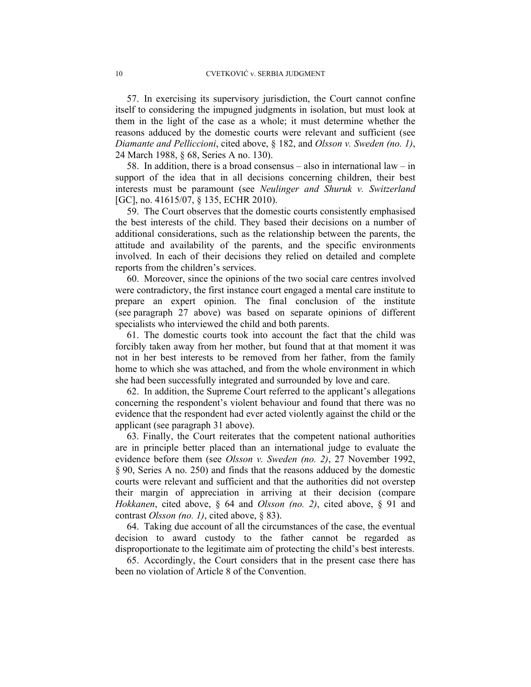57. In exercising its supervisory jurisdiction, the Court cannot confine itself to considering the impugned judgments in isolation, but must look at them in the light of the case as a whole; it must determine whether the reasons adduced by the domestic courts were relevant and sufficient (see *Diamante and Pelliccioni*, cited above, § 182, and *Olsson v. Sweden (no. 1)*, 24 March 1988, § 68, Series A no. 130).

58. In addition, there is a broad consensus – also in international law – in support of the idea that in all decisions concerning children, their best interests must be paramount (see *Neulinger and Shuruk v. Switzerland* [GC], no. 41615/07, § 135, ECHR 2010).

59. The Court observes that the domestic courts consistently emphasised the best interests of the child. They based their decisions on a number of additional considerations, such as the relationship between the parents, the attitude and availability of the parents, and the specific environments involved. In each of their decisions they relied on detailed and complete reports from the children's services.

60. Moreover, since the opinions of the two social care centres involved were contradictory, the first instance court engaged a mental care institute to prepare an expert opinion. The final conclusion of the institute (see paragraph 27 above) was based on separate opinions of different specialists who interviewed the child and both parents.

61. The domestic courts took into account the fact that the child was forcibly taken away from her mother, but found that at that moment it was not in her best interests to be removed from her father, from the family home to which she was attached, and from the whole environment in which she had been successfully integrated and surrounded by love and care.

62. In addition, the Supreme Court referred to the applicant's allegations concerning the respondent's violent behaviour and found that there was no evidence that the respondent had ever acted violently against the child or the applicant (see paragraph 31 above).

63. Finally, the Court reiterates that the competent national authorities are in principle better placed than an international judge to evaluate the evidence before them (see *Olsson v. Sweden (no. 2)*, 27 November 1992, § 90, Series A no. 250) and finds that the reasons adduced by the domestic courts were relevant and sufficient and that the authorities did not overstep their margin of appreciation in arriving at their decision (compare *Hokkanen*, cited above, § 64 and *Olsson (no. 2)*, cited above, § 91 and contrast *Olsson (no. 1)*, cited above, § 83).

64. Taking due account of all the circumstances of the case, the eventual decision to award custody to the father cannot be regarded as disproportionate to the legitimate aim of protecting the child's best interests.

65. Accordingly, the Court considers that in the present case there has been no violation of Article 8 of the Convention.